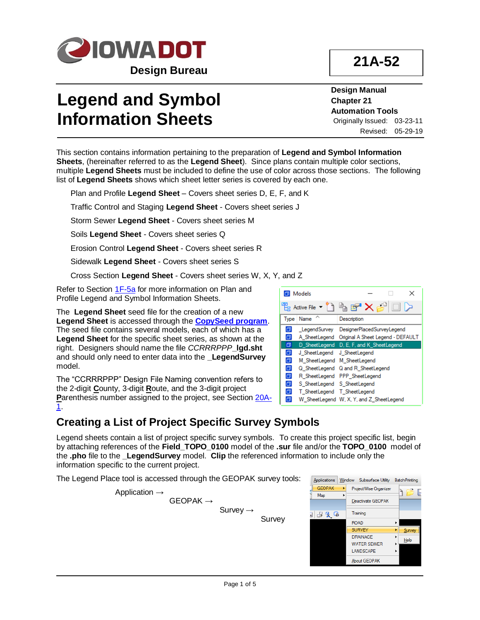

**21A-52**

# **Legend and Symbol Information Sheets**

**Design Manual Chapter 21 Automation Tools** Originally Issued: 03-23-11 Revised: 05-29-19

This section contains information pertaining to the preparation of **Legend and Symbol Information Sheets**, (hereinafter referred to as the **Legend Sheet**). Since plans contain multiple color sections, multiple **Legend Sheets** must be included to define the use of color across those sections. The following list of **Legend Sheets** shows which sheet letter series is covered by each one.

Plan and Profile **Legend Sheet** – Covers sheet series D, E, F, and K

Traffic Control and Staging **Legend Sheet** - Covers sheet series J

Storm Sewer **Legend Sheet** - Covers sheet series M

Soils **Legend Sheet** - Covers sheet series Q

Erosion Control **Legend Sheet** - Covers sheet series R

Sidewalk **Legend Sheet** - Covers sheet series S

Cross Section **Legend Sheet** - Covers sheet series W, X, Y, and Z

Refer to Section [1F-5a](01f-05a.pdf) for more information on Plan and Profile Legend and Symbol Information Sheets.

The **Legend Sheet** seed file for the creation of a new **Legend Sheet** is accessed through the **[CopySeed program](http://www.iowadot.gov/design/dmanual/21C-54.pdf)**. The seed file contains several models, each of which has a **Legend Sheet** for the specific sheet series, as shown at the right. Designers should name the file *CCRRRPPP***\_lgd.sht** and should only need to enter data into the **LegendSurvey** model.

The "CCRRRPPP" Design File Naming convention refers to the 2-digit **C**ounty, 3-digit **R**oute, and the 3-digit project **P**arenthesis number assigned to the project, see Section [20A-](20A-01.pdf)[1.](20A-01.pdf)

### **Creating a List of Project Specific Survey Symbols**

Legend sheets contain a list of project specific survey symbols. To create this project specific list, begin by attaching references of the **Field\_TOPO\_0100** model of the **.sur** file and/or the **TOPO\_0100** model of the **.pho** file to the **\_LegendSurvey** model. **Clip** the referenced information to include only the information specific to the current project.

The Legend Place tool is accessed through the GEOPAK survey tools:

 $GEOPAK \rightarrow$ 

Application →

Survey →

Survey



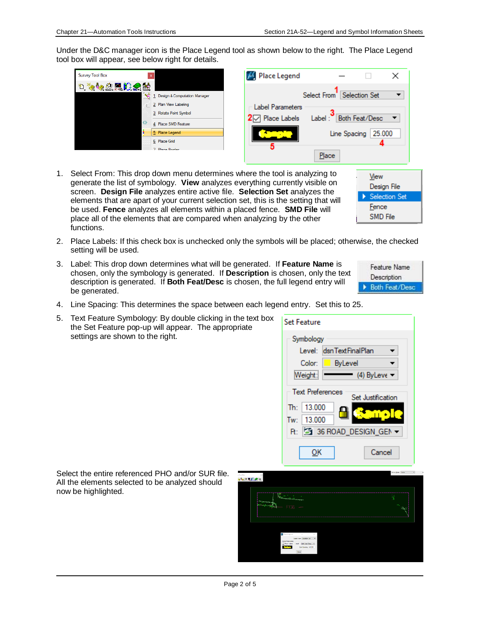Under the D&C manager icon is the Place Legend tool as shown below to the right. The Place Legend tool box will appear, see below right for details.

| <sup>D</sup> 该够盘黑腹貌菌<br>1 Design & Computation Manager<br>2 Plan View Labeling<br><b>Label Parameters</b><br>3 Rotate Point Symbol<br>$2\heartsuit$ Place Labels<br>₩<br>4 Place SMD Feature | Place Legend                                                                                                                          |
|----------------------------------------------------------------------------------------------------------------------------------------------------------------------------------------------|---------------------------------------------------------------------------------------------------------------------------------------|
| 5 Place Legend<br>6 Place Grid<br>7 Place Romler                                                                                                                                             | <b>Selection Set</b><br>Select From<br><b>Both Feat/Desc</b><br>Label:<br>$\overline{\phantom{a}}$<br>25.000<br>Line Spacing<br>Place |

1. Select From: This drop down menu determines where the tool is analyzing to generate the list of symbology. **View** analyzes everything currently visible on screen. **Design File** analyzes entire active file. **Selection Set** analyzes the elements that are apart of your current selection set, this is the setting that will be used. **Fence** analyzes all elements within a placed fence. **SMD File** will place all of the elements that are compared when analyzing by the other functions.



- 2. Place Labels: If this check box is unchecked only the symbols will be placed; otherwise, the checked setting will be used.
- 3. Label: This drop down determines what will be generated. If **Feature Name** is chosen, only the symbology is generated. If **Description** is chosen, only the text description is generated. If **Both Feat/Desc** is chosen, the full legend entry will be generated.
	- Feature Name Description **Both Feat/Desc**
- 4. Line Spacing: This determines the space between each legend entry. Set this to 25.
- 5. Text Feature Symbology: By double clicking in the text box the Set Feature pop-up will appear. The appropriate settings are shown to the right.



Select the entire referenced PHO and/or SUR file. All the elements selected to be analyzed should now be highlighted.

| <b>Charles Company</b>               | <b>Reservation of Property Party</b>                                                                                                                                                                                                                                                                                                                                                                                                                                               | - 6<br>7 |
|--------------------------------------|------------------------------------------------------------------------------------------------------------------------------------------------------------------------------------------------------------------------------------------------------------------------------------------------------------------------------------------------------------------------------------------------------------------------------------------------------------------------------------|----------|
|                                      |                                                                                                                                                                                                                                                                                                                                                                                                                                                                                    | $\sim$   |
|                                      |                                                                                                                                                                                                                                                                                                                                                                                                                                                                                    |          |
| Place Legend                         | $-122$<br>$\times$<br>$\sim$                                                                                                                                                                                                                                                                                                                                                                                                                                                       |          |
| Libel Pagarders<br><b>Z Resident</b> | Salest Lion Salestian Sat<br>$\cdot$<br><b>Bit-Free/Conc. 1</b><br><b>Label :</b><br>Une Spacing 41,000                                                                                                                                                                                                                                                                                                                                                                            |          |
|                                      | $\frac{1}{2} \left( \frac{1}{2} \right) \left( \frac{1}{2} \right) \left( \frac{1}{2} \right) \left( \frac{1}{2} \right) \left( \frac{1}{2} \right) \left( \frac{1}{2} \right) \left( \frac{1}{2} \right) \left( \frac{1}{2} \right) \left( \frac{1}{2} \right) \left( \frac{1}{2} \right) \left( \frac{1}{2} \right) \left( \frac{1}{2} \right) \left( \frac{1}{2} \right) \left( \frac{1}{2} \right) \left( \frac{1}{2} \right) \left( \frac{1}{2} \right) \left( \frac$<br>Page |          |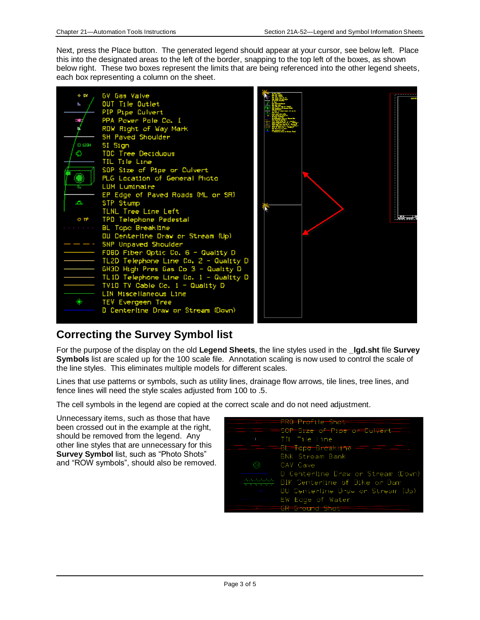Next, press the Place button. The generated legend should appear at your cursor, see below left. Place this into the designated areas to the left of the border, snapping to the top left of the boxes, as shown below right. These two boxes represent the limits that are being referenced into the other legend sheets, each box representing a column on the sheet.



#### **Correcting the Survey Symbol list**

For the purpose of the display on the old **Legend Sheets**, the line styles used in the **\_lgd.sht** file **Survey Symbols** list are scaled up for the 100 scale file. Annotation scaling is now used to control the scale of the line styles. This eliminates multiple models for different scales.

Lines that use patterns or symbols, such as utility lines, drainage flow arrows, tile lines, tree lines, and fence lines will need the style scales adjusted from 100 to .5.

The cell symbols in the legend are copied at the correct scale and do not need adjustment.

Unnecessary items, such as those that have been crossed out in the example at the right, should be removed from the legend. Any other line styles that are unnecessary for this **Survey Symbol** list, such as "Photo Shots" and "ROW symbols", should also be removed.

| <del>www.</del> PRO-Profile—Shot-                               |
|-----------------------------------------------------------------|
| $\equiv$ $\equiv$ $\equiv$ SOP=Size of Pipe of Culvert $\equiv$ |
| — pur — H. – Till File Line                                     |
| <del>1. T11. T11 Bl=T</del> op <del>o Breakline - T</del> 1     |
| - BNK Stream Bank                                               |
| CAV Cave                                                        |
| - D Centerline Draw or Stream (Down)                            |
| <del>(4444</del> DIK Centerline of Dike or Dam                  |
| $\leq$ DU Centerline Draw or Stream (Up)                        |
| EW Edge of Water                                                |
| <del>IGR-Ground Shot</del>                                      |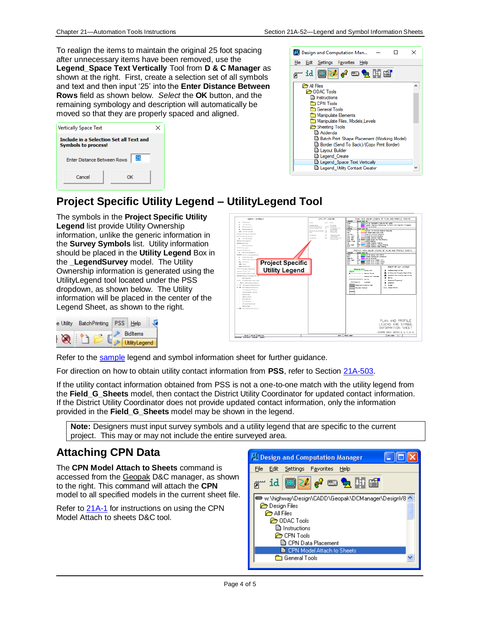To realign the items to maintain the original 25 foot spacing after unnecessary items have been removed, use the **Legend\_Space Text Vertically** Tool from **D & C Manager** as shown at the right. First, create a selection set of all symbols and text and then input '25' into the **Enter Distance Between Rows** field as shown below. *Select* the **OK** button, and the remaining symbology and description will automatically be moved so that they are properly spaced and aligned.

| <b>Vertically Space Text</b>                                          |    |  |
|-----------------------------------------------------------------------|----|--|
| Include in a Selection Set all Text and<br><b>Symbols to process!</b> |    |  |
| Enter Distance Between Rows                                           | 25 |  |
| Cancel                                                                | ок |  |



#### **Project Specific Utility Legend – UtilityLegend Tool**

The symbols in the **Project Specific Utility Legend** list provide Utility Ownership information, unlike the generic information in the **Survey Symbols** list. Utility information should be placed in the **Utility Legend** Box in the **\_LegendSurvey** model. The Utility Ownership information is generated using the UtilityLegend tool located under the PSS dropdown, as shown below. The Utility information will be placed in the center of the Legend Sheet, as shown to the right.

| e Utility | <b>BatchPrinting</b> |  | Help                 |  |
|-----------|----------------------|--|----------------------|--|
|           |                      |  | <b>Bidltems</b>      |  |
|           |                      |  | <b>UtilityLegend</b> |  |

| SURVEY SYMBOLS                                                                                                                                                                                                                                                                                                                                                                                                                                                                                                                                                                                                                                                                                                                                                                                                                                                                                                                                                                                                                                                                                                                                                                                                      | UTTLETY LEGEND                                                                                                                                                                                                                                                                                                                                                                                                                     | FLAN VIEW DOLDR LEGEND OF PLAN AND PROFILE SHEETS.                                                                                                                                                                                                                                                                                                                                                                                                                                                                                                                                                                                                                                                                                                                                                                                                                                                                                                                                                                                                                                                                                                                                                                                                                                                                                                                                                                                                                                                                                                                                                                                                                                                                                                    |                                                                                                 |
|---------------------------------------------------------------------------------------------------------------------------------------------------------------------------------------------------------------------------------------------------------------------------------------------------------------------------------------------------------------------------------------------------------------------------------------------------------------------------------------------------------------------------------------------------------------------------------------------------------------------------------------------------------------------------------------------------------------------------------------------------------------------------------------------------------------------------------------------------------------------------------------------------------------------------------------------------------------------------------------------------------------------------------------------------------------------------------------------------------------------------------------------------------------------------------------------------------------------|------------------------------------------------------------------------------------------------------------------------------------------------------------------------------------------------------------------------------------------------------------------------------------------------------------------------------------------------------------------------------------------------------------------------------------|-------------------------------------------------------------------------------------------------------------------------------------------------------------------------------------------------------------------------------------------------------------------------------------------------------------------------------------------------------------------------------------------------------------------------------------------------------------------------------------------------------------------------------------------------------------------------------------------------------------------------------------------------------------------------------------------------------------------------------------------------------------------------------------------------------------------------------------------------------------------------------------------------------------------------------------------------------------------------------------------------------------------------------------------------------------------------------------------------------------------------------------------------------------------------------------------------------------------------------------------------------------------------------------------------------------------------------------------------------------------------------------------------------------------------------------------------------------------------------------------------------------------------------------------------------------------------------------------------------------------------------------------------------------------------------------------------------------------------------------------------------|-------------------------------------------------------------------------------------------------|
| No. 100 Latinum<br>×.<br>THE FARM RANK<br>PRAFavor Rdd Co. 1<br>٠<br><b>PESSION ROLLFUM</b><br><b>B.M.</b> TOETARI Sportbox<br>second strip deposed this Vari<br>Management GOA Guard Buildings<br>$\sim$<br>194 Year Eastern A<br><b>WARRANTY MOST ENGINEERS</b><br>$-$ 25 km<br>1. BO Entertainment<br>$rac{1}{2}$ City Curan<br><b>CONTRACTOR</b><br>Minish is Associated<br>- www. pitching and bearb here.<br>In four financiana<br>۰<br><b>ARSVE Specification</b><br>٠<br><b>Project Specific</b><br><b>Little A. Box</b><br>$\mathbf{e}_k$<br>and fellow<br>and comparison<br><b>Utility Legend</b><br>services (its factor infinist of Cust)<br><b>CONTRACTOR</b><br><b>CONTRACTOR CAR PART AND</b><br><b>SP Good of Parent Roads All, or SPI</b><br>$- - - -$ 894 Shart Ratk<br>O Carbelon Scan or House House<br>are Dir Latindra Daw a Mountain<br>- 11 - Tak integrant fainting in the 1<br>- PB - FOR UNKNOWN FOR DIRECT<br>Text Contemporary Text etc. Ca. 1<br><b>BS AGES ACTION TWO STATE</b><br><b>BERFIN DAR</b><br>185 No. of British<br><b>PED Forty Day</b><br>×.<br>US 18 to Electrical<br><b>SON Business and Consent</b><br><b>DE ENGIN BIAN</b><br>- FBI - FDFV-teranount Fox Director in | <b>Berlin Renade</b><br>Coraum<br><b>Line National Service</b><br>Dind'y and<br><b>McAmron Issue Garage</b><br>FILEM DATABLENT<br><b>Bit-Analys Engy Corpos</b><br><b>Cut</b><br>land The Columbus and<br>KOSSI LIA (Chicore Nel<br>128<br><b>ReacTex Only</b><br>By at Line Syle<br><b>Denver</b><br><b>DOM</b><br><b>Di-Finar Un</b><br><b>SAL</b><br><b><i>SATINE MILEAGE</i></b><br>On of Bour Ora<br>ALC U<br>and bed summer! | <b>HVM</b><br>George Color No.<br>firem.<br>क्र<br>Entwicke Transporter Fundame and Limited<br><b>Blue</b><br>m<br>Processi Atament, Stattering Tir Neto, and Alexand, Annivirus<br>Pagentia<br>m/s<br><b>Externa un Euro</b><br>C to be a cost that : With<br>Westing<br><b>Design Gave Har</b><br><b>Tariffs</b><br>DO.<br>Highward for Drivings Rates or Festures<br><b>Fac</b><br>m<br><b>Convention Heatmeter Avenue</b><br>Lewinder<br>$\infty$<br>Temporary Peverant, Chading<br><b>Johnson and San Sweets</b><br>Prescope Payment, Sharfree<br>O'Ns Liters<br><b>Sell III</b><br><b>SHA PM</b><br>561 IIII Popeed (randor Station<br>Portrollervill<br>Gray. Dark.<br>0.0 EEE Progress Grade and Pave Shedrig<br><b>Imm Use</b> 918<br><b>Dreams</b> Sheeting<br>Program School Stating<br>hia.<br>$\sim$<br><b>Elen Light</b><br>(750) <b>Home Processe</b> Statesh Landing Stating<br>n <sub>n</sub><br>$0.13 - 1$<br>Proposed Schnach Parts Steeling<br>PROFILE VIEW COLOR LEGEND OF PLAN AND PROFILE SHEETS<br>Leevan<br>Destan Gron Ho.<br><b>MY</b><br>Exteriors Ground Line Profile<br><b>Great</b><br>81.4<br>es.<br>Presence Frefile and Everlation<br><b>Pageros</b><br>m.<br>Colecting the Etime<br><b>O'M'N</b><br><b>Ennounced Street Counties, Latit</b><br><b>Blue, closel</b><br>Program Dion Grape, Nation<br><b>Black</b><br><b>SO</b><br>met #<br>Proceed Gits Green, Right<br>h go<br>Pelerance Parts<br>Process Ret-of-Na-<br>Sunday 1998<br><b>Station</b><br>------------ Ground Line Intercent<br>Borrow<br>materials design that the first<br>$\sigma$<br><b>Fascost General</b><br><br><b>August</b> School<br>Entertaint<br>×<br>Detrim 5 Eventra tree.<br><b>Summer</b><br>Feuerert, Romanal<br>A/C Awere Garciel | RELIGIOR-MAY LECEND<br>Entering and Proceed Pight-of-Vay<br>Essenars and Excelling Right-of-May |
|                                                                                                                                                                                                                                                                                                                                                                                                                                                                                                                                                                                                                                                                                                                                                                                                                                                                                                                                                                                                                                                                                                                                                                                                                     |                                                                                                                                                                                                                                                                                                                                                                                                                                    | PLAN AND PROFILE<br>LEGEND AND SYMBOL                                                                                                                                                                                                                                                                                                                                                                                                                                                                                                                                                                                                                                                                                                                                                                                                                                                                                                                                                                                                                                                                                                                                                                                                                                                                                                                                                                                                                                                                                                                                                                                                                                                                                                                 |                                                                                                 |
|                                                                                                                                                                                                                                                                                                                                                                                                                                                                                                                                                                                                                                                                                                                                                                                                                                                                                                                                                                                                                                                                                                                                                                                                                     |                                                                                                                                                                                                                                                                                                                                                                                                                                    | INFORMATION SHEET                                                                                                                                                                                                                                                                                                                                                                                                                                                                                                                                                                                                                                                                                                                                                                                                                                                                                                                                                                                                                                                                                                                                                                                                                                                                                                                                                                                                                                                                                                                                                                                                                                                                                                                                     |                                                                                                 |

Refer to the [sample](01f-05/PlanAndProfileLegendAndSymbolInforamtionSheetSample.pdf) legend and symbol information sheet for further guidance.

For direction on how to obtain utility contact information from **PSS**, refer to Section [21A-503.](21A-503.pdf)

If the utility contact information obtained from PSS is not a one-to-one match with the utility legend from the **Field\_G\_Sheets** model, then contact the District Utility Coordinator for updated contact information. If the District Utility Coordinator does not provide updated contact information, only the information provided in the **Field\_G\_Sheets** model may be shown in the legend.

**Note:** Designers must input survey symbols and a utility legend that are specific to the current project. This may or may not include the entire surveyed area.

#### **Attaching CPN Data**

The **CPN Model Attach to Sheets** command is accessed from the Geopak D&C manager, as shown to the right. This command will attach the **CPN** model to all specified models in the current sheet file.

Refer to [21A-1](21A-01.pdf) for instructions on using the CPN Model Attach to sheets D&C tool.

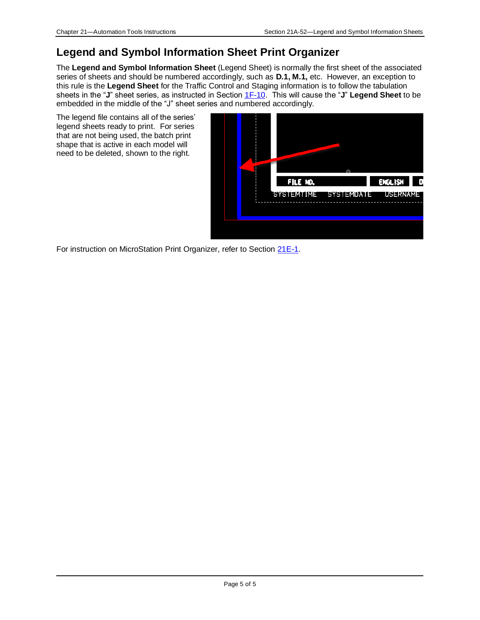#### **Legend and Symbol Information Sheet Print Organizer**

The **Legend and Symbol Information Sheet** (Legend Sheet) is normally the first sheet of the associated series of sheets and should be numbered accordingly, such as **D.1, M.1,** etc. However, an exception to this rule is the **Legend Sheet** for the Traffic Control and Staging information is to follow the tabulation sheets in the "**J**" sheet series, as instructed in Section [1F-10.](01f-10.pdf) This will cause the "**J**" **Legend Sheet** to be embedded in the middle of the "J" sheet series and numbered accordingly.

The legend file contains all of the series' legend sheets ready to print. For series that are not being used, the batch print shape that is active in each model will need to be deleted, shown to the right.



For instruction on MicroStation Print Organizer, refer to Section [21E-1.](21E-01.pdf)